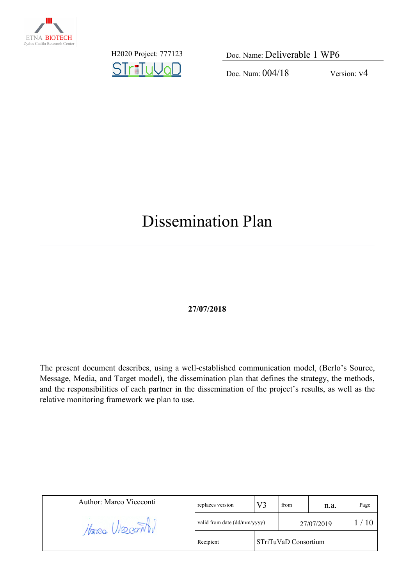

STriTuVaD

H2020 Project: 777123 Doc. Name: Deliverable 1 WP6

Doc. Num: 004/18 Version: v4

# Dissemination Plan

#### **27/07/2018**

The present document describes, using a well-established communication model, (Berlo's Source, Message, Media, and Target model), the dissemination plan that defines the strategy, the methods, and the responsibilities of each partner in the dissemination of the project's results, as well as the relative monitoring framework we plan to use.

| Author: Marco Viceconti | replaces version                  | V2 | from | n.a.       | Page |
|-------------------------|-----------------------------------|----|------|------------|------|
| Marco Villeon 1,        | valid from date (dd/mm/yyyy)      |    |      | 27/07/2019 |      |
|                         | STriTuVaD Consortium<br>Recipient |    |      |            |      |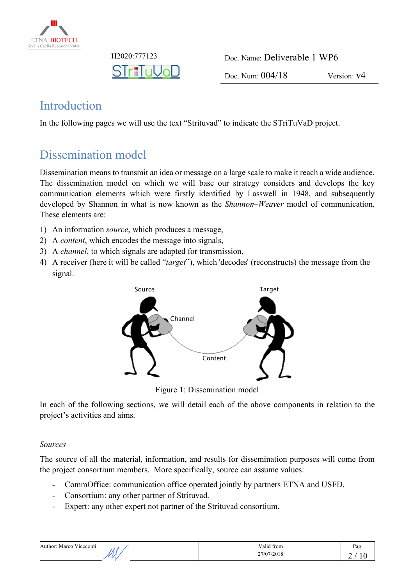

| H <sub>2020</sub> :777123 |  |
|---------------------------|--|
|                           |  |

Doc. Name: Deliverable 1 WP6

Doc. Num:  $004/18$  Version: v4

### Introduction

In the following pages we will use the text "Strituvad" to indicate the STriTuVaD project.

### Dissemination model

Dissemination means to transmit an idea or message on a large scale to make it reach a wide audience. The dissemination model on which we will base our strategy considers and develops the key communication elements which were firstly identified by Lasswell in 1948, and subsequently developed by Shannon in what is now known as the *Shannon–Weaver* model of communication. These elements are:

- 1) An information *source*, which produces a message,
- 2) A *content*, which encodes the message into signals,
- 3) A *channel*, to which signals are adapted for transmission,
- 4) A receiver (here it will be called "*target*"), which 'decodes' (reconstructs) the message from the signal.



Figure 1: Dissemination model

In each of the following sections, we will detail each of the above components in relation to the project's activities and aims.

#### *Sources*

The source of all the material, information, and results for dissemination purposes will come from the project consortium members. More specifically, source can assume values:

- CommOffice: communication office operated jointly by partners ETNA and USFD.
- Consortium: any other partner of Strituvad.
- Expert: any other expert not partner of the Strituvad consortium.

| "Author<br>Viceconti<br>Marco<br>. | Valid from | Pag. |
|------------------------------------|------------|------|
|                                    | 27/07/2018 | -    |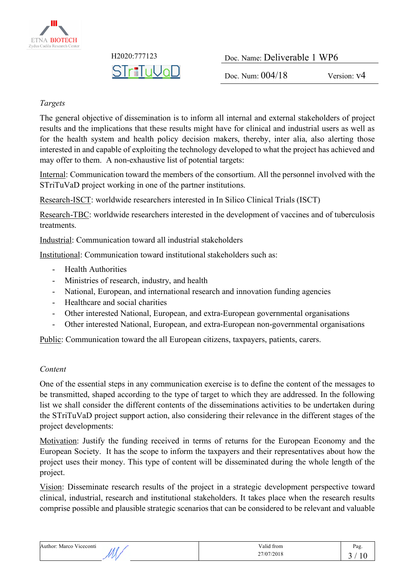

**STriTuVoD** 

H2020:777123 Doc. Name: Deliverable 1 WP6

Doc. Num:  $004/18$  Version: v4

#### *Targets*

The general objective of dissemination is to inform all internal and external stakeholders of project results and the implications that these results might have for clinical and industrial users as well as for the health system and health policy decision makers, thereby, inter alia, also alerting those interested in and capable of exploiting the technology developed to what the project has achieved and may offer to them. A non-exhaustive list of potential targets:

Internal: Communication toward the members of the consortium. All the personnel involved with the STriTuVaD project working in one of the partner institutions.

Research-ISCT: worldwide researchers interested in In Silico Clinical Trials (ISCT)

Research-TBC: worldwide researchers interested in the development of vaccines and of tuberculosis treatments.

Industrial: Communication toward all industrial stakeholders

Institutional: Communication toward institutional stakeholders such as:

- Health Authorities
- Ministries of research, industry, and health
- National, European, and international research and innovation funding agencies
- Healthcare and social charities
- Other interested National, European, and extra-European governmental organisations
- Other interested National, European, and extra-European non-governmental organisations

Public: Communication toward the all European citizens, taxpayers, patients, carers.

#### *Content*

One of the essential steps in any communication exercise is to define the content of the messages to be transmitted, shaped according to the type of target to which they are addressed. In the following list we shall consider the different contents of the disseminations activities to be undertaken during the STriTuVaD project support action, also considering their relevance in the different stages of the project developments:

Motivation: Justify the funding received in terms of returns for the European Economy and the European Society. It has the scope to inform the taxpayers and their representatives about how the project uses their money. This type of content will be disseminated during the whole length of the project.

Vision: Disseminate research results of the project in a strategic development perspective toward clinical, industrial, research and institutional stakeholders. It takes place when the research results comprise possible and plausible strategic scenarios that can be considered to be relevant and valuable

| Author: Marco Viceconti | Valid from | Pag |
|-------------------------|------------|-----|
|                         | 27/07/2018 | `   |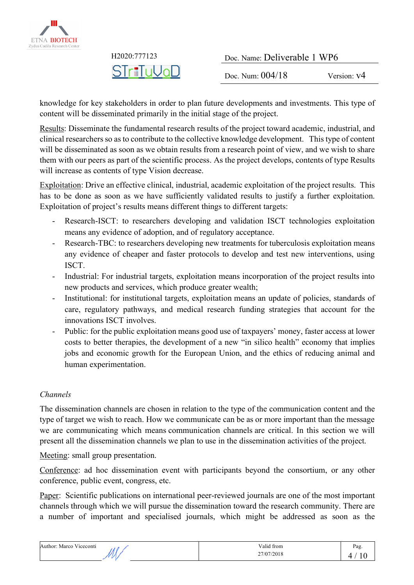

| H <sub>2</sub> 020:777123 | Doc. Name: Deliverable 1 WP6 |               |
|---------------------------|------------------------------|---------------|
| STr∎TuVaD                 | Doc. Num: $004/18$           | Version: $v4$ |

knowledge for key stakeholders in order to plan future developments and investments. This type of content will be disseminated primarily in the initial stage of the project.

Results: Disseminate the fundamental research results of the project toward academic, industrial, and clinical researchers so as to contribute to the collective knowledge development. This type of content will be disseminated as soon as we obtain results from a research point of view, and we wish to share them with our peers as part of the scientific process. As the project develops, contents of type Results will increase as contents of type Vision decrease.

Exploitation: Drive an effective clinical, industrial, academic exploitation of the project results. This has to be done as soon as we have sufficiently validated results to justify a further exploitation. Exploitation of project's results means different things to different targets:

- Research-ISCT: to researchers developing and validation ISCT technologies exploitation means any evidence of adoption, and of regulatory acceptance.
- Research-TBC: to researchers developing new treatments for tuberculosis exploitation means any evidence of cheaper and faster protocols to develop and test new interventions, using ISCT.
- Industrial: For industrial targets, exploitation means incorporation of the project results into new products and services, which produce greater wealth;
- Institutional: for institutional targets, exploitation means an update of policies, standards of care, regulatory pathways, and medical research funding strategies that account for the innovations ISCT involves.
- Public: for the public exploitation means good use of taxpayers' money, faster access at lower costs to better therapies, the development of a new "in silico health" economy that implies jobs and economic growth for the European Union, and the ethics of reducing animal and human experimentation.

#### *Channels*

The dissemination channels are chosen in relation to the type of the communication content and the type of target we wish to reach. How we communicate can be as or more important than the message we are communicating which means communication channels are critical. In this section we will present all the dissemination channels we plan to use in the dissemination activities of the project.

Meeting: small group presentation.

Conference: ad hoc dissemination event with participants beyond the consortium, or any other conference, public event, congress, etc.

Paper: Scientific publications on international peer-reviewed journals are one of the most important channels through which we will pursue the dissemination toward the research community. There are a number of important and specialised journals, which might be addressed as soon as the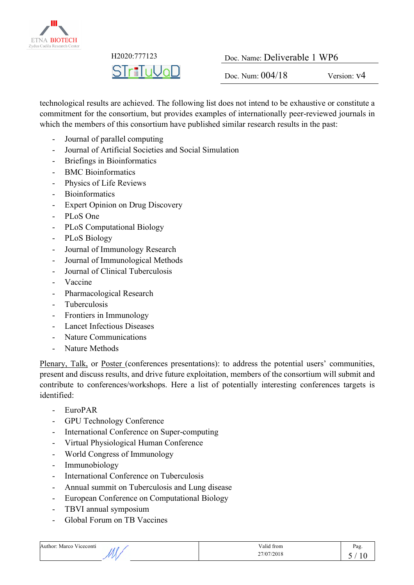

**STriTuVoD** 

H2020:777123 Doc. Name: Deliverable 1 WP6

Doc. Num:  $0.04/18$  Version:  $v4$ 

technological results are achieved. The following list does not intend to be exhaustive or constitute a commitment for the consortium, but provides examples of internationally peer-reviewed journals in which the members of this consortium have published similar research results in the past:

- Journal of parallel computing
- Journal of Artificial Societies and Social Simulation
- Briefings in Bioinformatics
- BMC Bioinformatics
- Physics of Life Reviews
- Bioinformatics
- Expert Opinion on Drug Discovery
- PLoS One
- PLoS Computational Biology
- PLoS Biology
- Journal of Immunology Research
- Journal of Immunological Methods
- Journal of Clinical Tuberculosis
- Vaccine
- Pharmacological Research
- **Tuberculosis**
- Frontiers in Immunology
- Lancet Infectious Diseases
- Nature Communications
- Nature Methods

Plenary, Talk, or Poster (conferences presentations): to address the potential users' communities, present and discuss results, and drive future exploitation, members of the consortium will submit and contribute to conferences/workshops. Here a list of potentially interesting conferences targets is identified:

- EuroPAR
- GPU Technology Conference
- International Conference on Super-computing
- Virtual Physiological Human Conference
- World Congress of Immunology
- Immunobiology
- International Conference on Tuberculosis
- Annual summit on Tuberculosis and Lung disease
- European Conference on Computational Biology
- TBVI annual symposium
- Global Forum on TB Vaccines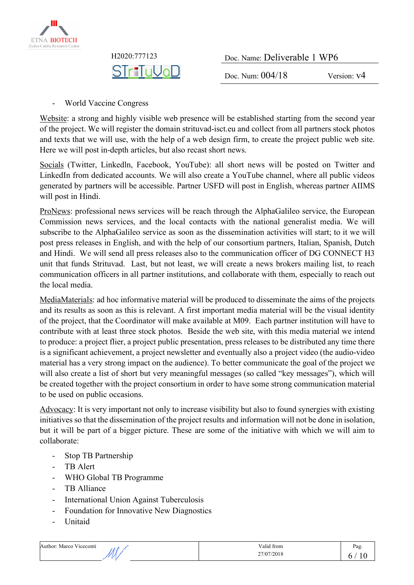

| H <sub>2020</sub> :777123 | Doc. Name: Deliverable 1 WP6 |             |
|---------------------------|------------------------------|-------------|
| STriTuVaD                 | Doc. Num: $004/18$           | Version: v4 |

- World Vaccine Congress

Website: a strong and highly visible web presence will be established starting from the second year of the project. We will register the domain strituvad-isct.eu and collect from all partners stock photos and texts that we will use, with the help of a web design firm, to create the project public web site. Here we will post in-depth articles, but also recast short news.

Socials (Twitter, Linkedln, Facebook, YouTube): all short news will be posted on Twitter and LinkedIn from dedicated accounts. We will also create a YouTube channel, where all public videos generated by partners will be accessible. Partner USFD will post in English, whereas partner AIIMS will post in Hindi.

ProNews: professional news services will be reach through the AlphaGalileo service, the European Commission news services, and the local contacts with the national generalist media. We will subscribe to the AlphaGalileo service as soon as the dissemination activities will start; to it we will post press releases in English, and with the help of our consortium partners, Italian, Spanish, Dutch and Hindi. We will send all press releases also to the communication officer of DG CONNECT H3 unit that funds Strituvad. Last, but not least, we will create a news brokers mailing list, to reach communication officers in all partner institutions, and collaborate with them, especially to reach out the local media.

MediaMaterials: ad hoc informative material will be produced to disseminate the aims of the projects and its results as soon as this is relevant. A first important media material will be the visual identity of the project, that the Coordinator will make available at M09. Each partner institution will have to contribute with at least three stock photos. Beside the web site, with this media material we intend to produce: a project flier, a project public presentation, press releases to be distributed any time there is a significant achievement, a project newsletter and eventually also a project video (the audio-video material has a very strong impact on the audience). To better communicate the goal of the project we will also create a list of short but very meaningful messages (so called "key messages"), which will be created together with the project consortium in order to have some strong communication material to be used on public occasions.

Advocacy: It is very important not only to increase visibility but also to found synergies with existing initiatives so that the dissemination of the project results and information will not be done in isolation, but it will be part of a bigger picture. These are some of the initiative with which we will aim to collaborate:

- Stop TB Partnership
- TB Alert
- WHO Global TB Programme
- TB Alliance
- International Union Against Tuberculosis
- Foundation for Innovative New Diagnostics
- **Unitaid**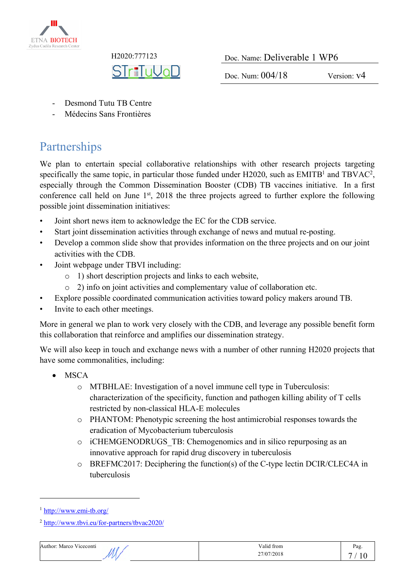

**STriTuVoL** 

H2020:777123 Doc. Name: Deliverable 1 WP6

Doc. Num:  $004/18$  Version:  $v4$ 

- Desmond Tutu TB Centre
- Médecins Sans Frontières

# Partnerships

We plan to entertain special collaborative relationships with other research projects targeting specifically the same topic, in particular those funded under  $H2020$ , such as  $EMITB<sup>1</sup>$  and  $TBVAC<sup>2</sup>$ . especially through the Common Dissemination Booster (CDB) TB vaccines initiative. In a first conference call held on June  $1<sup>st</sup>$ , 2018 the three projects agreed to further explore the following possible joint dissemination initiatives:

- Joint short news item to acknowledge the EC for the CDB service.
- Start joint dissemination activities through exchange of news and mutual re-posting.
- Develop a common slide show that provides information on the three projects and on our joint activities with the CDB.
- Joint webpage under TBVI including:
	- o 1) short description projects and links to each website,
	- o 2) info on joint activities and complementary value of collaboration etc.
- Explore possible coordinated communication activities toward policy makers around TB.
- Invite to each other meetings.

More in general we plan to work very closely with the CDB, and leverage any possible benefit form this collaboration that reinforce and amplifies our dissemination strategy.

We will also keep in touch and exchange news with a number of other running H2020 projects that have some commonalities, including:

- MSCA
	- o MTBHLAE: Investigation of a novel immune cell type in Tuberculosis: characterization of the specificity, function and pathogen killing ability of T cells restricted by non-classical HLA-E molecules
	- o PHANTOM: Phenotypic screening the host antimicrobial responses towards the eradication of Mycobacterium tuberculosis
	- o iCHEMGENODRUGS\_TB: Chemogenomics and in silico repurposing as an innovative approach for rapid drug discovery in tuberculosis
	- o BREFMC2017: Deciphering the function(s) of the C-type lectin DCIR/CLEC4A in tuberculosis

 $\overline{a}$ 



<sup>1</sup> http://www.emi-tb.org/

<sup>2</sup> http://www.tbvi.eu/for-partners/tbvac2020/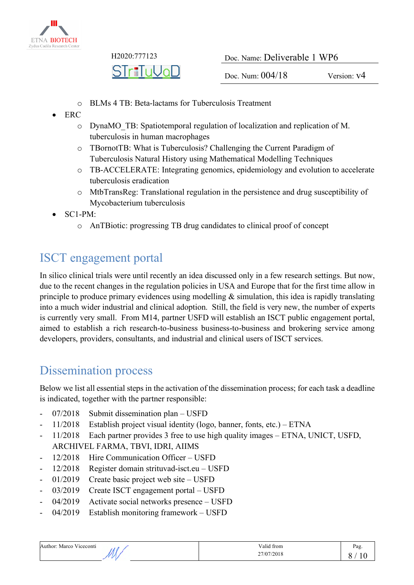

| H <sub>2020</sub> :777123 | Doc. Name: Deliverable 1 WP6 |               |
|---------------------------|------------------------------|---------------|
| STr∎TuVaD                 | Doc. Num: $004/18$           | Version: $v4$ |

- o BLMs 4 TB: Beta-lactams for Tuberculosis Treatment
- ERC
	- o DynaMO\_TB: Spatiotemporal regulation of localization and replication of M. tuberculosis in human macrophages
	- o TBornotTB: What is Tuberculosis? Challenging the Current Paradigm of Tuberculosis Natural History using Mathematical Modelling Techniques
	- o TB-ACCELERATE: Integrating genomics, epidemiology and evolution to accelerate tuberculosis eradication
	- o MtbTransReg: Translational regulation in the persistence and drug susceptibility of Mycobacterium tuberculosis
- SC1-PM:
	- o AnTBiotic: progressing TB drug candidates to clinical proof of concept

# ISCT engagement portal

In silico clinical trials were until recently an idea discussed only in a few research settings. But now, due to the recent changes in the regulation policies in USA and Europe that for the first time allow in principle to produce primary evidences using modelling  $\&$  simulation, this idea is rapidly translating into a much wider industrial and clinical adoption. Still, the field is very new, the number of experts is currently very small. From M14, partner USFD will establish an ISCT public engagement portal, aimed to establish a rich research-to-business business-to-business and brokering service among developers, providers, consultants, and industrial and clinical users of ISCT services.

### Dissemination process

Below we list all essential steps in the activation of the dissemination process; for each task a deadline is indicated, together with the partner responsible:

- 07/2018 Submit dissemination plan USFD
- 11/2018 Establish project visual identity (logo, banner, fonts, etc.) ETNA
- 11/2018 Each partner provides 3 free to use high quality images ETNA, UNICT, USFD,
- ARCHIVEL FARMA, TBVI, IDRI, AIIMS
- 12/2018 Hire Communication Officer USFD
- 12/2018 Register domain strituvad-isct.eu USFD
- 01/2019 Create basic project web site USFD
- 03/2019 Create ISCT engagement portal USFD
- 04/2019 Activate social networks presence USFD
- 04/2019 Establish monitoring framework USFD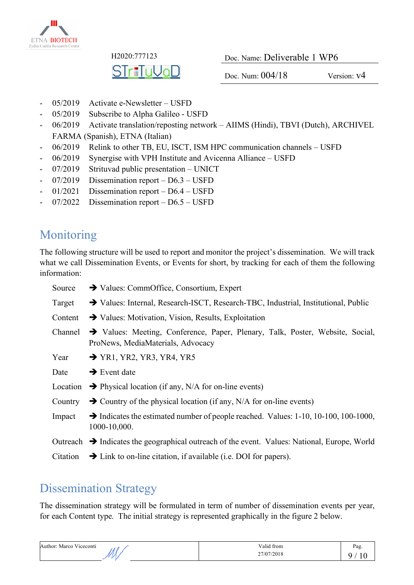

STriTuVoD

H2020:777123 Doc. Name: Deliverable 1 WP6

Doc. Num:  $0.04/18$  Version:  $v4$ 

- 05/2019 Activate e-Newsletter USFD
- 05/2019 Subscribe to Alpha Galileo USFD
- 06/2019 Activate translation/reposting network AIIMS (Hindi), TBVI (Dutch), ARCHIVEL FARMA (Spanish), ETNA (Italian)
- 06/2019 Relink to other TB, EU, ISCT, ISM HPC communication channels USFD
- 06/2019 Synergise with VPH Institute and Avicenna Alliance USFD
- 07/2019 Strituvad public presentation UNICT
- 07/2019 Dissemination report D6.3 USFD
- 01/2021 Dissemination report D6.4 USFD
- 07/2022 Dissemination report D6.5 USFD

### Monitoring

The following structure will be used to report and monitor the project's dissemination. We will track what we call Dissemination Events, or Events for short, by tracking for each of them the following information:

| Source   | $\rightarrow$ Values: CommOffice, Consortium, Expert                                                               |
|----------|--------------------------------------------------------------------------------------------------------------------|
| Target   | → Values: Internal, Research-ISCT, Research-TBC, Industrial, Institutional, Public                                 |
| Content  | $\rightarrow$ Values: Motivation, Vision, Results, Exploitation                                                    |
| Channel  | > Values: Meeting, Conference, Paper, Plenary, Talk, Poster, Website, Social,<br>ProNews, MediaMaterials, Advocacy |
| Year     | $\rightarrow$ YR1, YR2, YR3, YR4, YR5                                                                              |
| Date     | $\rightarrow$ Event date                                                                                           |
| Location | $\rightarrow$ Physical location (if any, N/A for on-line events)                                                   |
| Country  | $\rightarrow$ Country of the physical location (if any, N/A for on-line events)                                    |
| Impact   | $\rightarrow$ Indicates the estimated number of people reached. Values: 1-10, 10-100, 100-1000,<br>1000-10,000.    |
|          | Outreach $\rightarrow$ Indicates the geographical outreach of the event. Values: National, Europe, World           |
| Citation | $\rightarrow$ Link to on-line citation, if available (i.e. DOI for papers).                                        |

### Dissemination Strategy

The dissemination strategy will be formulated in term of number of dissemination events per year, for each Content type. The initial strategy is represented graphically in the figure 2 below.

| $\mathbf{v}$<br>Author: Marco Viceconti | Valid from          | Pag    |
|-----------------------------------------|---------------------|--------|
|                                         | 27/07/2018<br>$  -$ | v<br>- |